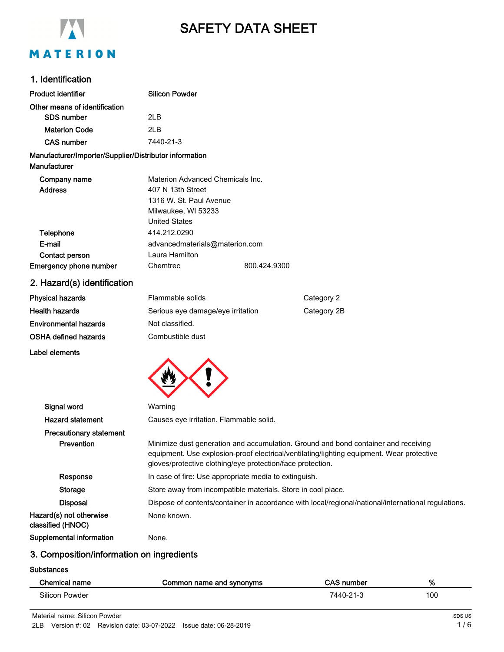

# SAFETY DATA SHEET

#### 1. Identification

| <b>Product identifier</b>                              | <b>Silicon Powder</b>                                                                               |              |                                                                                           |
|--------------------------------------------------------|-----------------------------------------------------------------------------------------------------|--------------|-------------------------------------------------------------------------------------------|
| Other means of identification                          |                                                                                                     |              |                                                                                           |
| <b>SDS number</b>                                      | 2LB                                                                                                 |              |                                                                                           |
| <b>Materion Code</b>                                   | 2LB                                                                                                 |              |                                                                                           |
| <b>CAS number</b>                                      | 7440-21-3                                                                                           |              |                                                                                           |
| Manufacturer/Importer/Supplier/Distributor information |                                                                                                     |              |                                                                                           |
| Manufacturer                                           |                                                                                                     |              |                                                                                           |
| Company name                                           | Materion Advanced Chemicals Inc.                                                                    |              |                                                                                           |
| <b>Address</b>                                         | 407 N 13th Street                                                                                   |              |                                                                                           |
|                                                        | 1316 W. St. Paul Avenue                                                                             |              |                                                                                           |
|                                                        | Milwaukee, WI 53233                                                                                 |              |                                                                                           |
|                                                        | <b>United States</b>                                                                                |              |                                                                                           |
| Telephone                                              | 414.212.0290                                                                                        |              |                                                                                           |
| E-mail                                                 | advancedmaterials@materion.com                                                                      |              |                                                                                           |
| Contact person                                         | Laura Hamilton                                                                                      |              |                                                                                           |
| Emergency phone number                                 | Chemtrec                                                                                            | 800.424.9300 |                                                                                           |
| 2. Hazard(s) identification                            |                                                                                                     |              |                                                                                           |
| <b>Physical hazards</b>                                | Flammable solids                                                                                    |              | Category 2                                                                                |
| <b>Health hazards</b>                                  | Serious eye damage/eye irritation                                                                   |              | Category 2B                                                                               |
| <b>Environmental hazards</b>                           | Not classified.                                                                                     |              |                                                                                           |
| <b>OSHA defined hazards</b>                            | Combustible dust                                                                                    |              |                                                                                           |
| Label elements                                         |                                                                                                     |              |                                                                                           |
|                                                        |                                                                                                     |              |                                                                                           |
|                                                        |                                                                                                     |              |                                                                                           |
|                                                        |                                                                                                     |              |                                                                                           |
| Signal word                                            | Warning                                                                                             |              |                                                                                           |
| <b>Hazard statement</b>                                | Causes eye irritation. Flammable solid.                                                             |              |                                                                                           |
| <b>Precautionary statement</b>                         |                                                                                                     |              |                                                                                           |
| Prevention                                             |                                                                                                     |              | Minimize dust generation and accumulation. Ground and bond container and receiving        |
|                                                        |                                                                                                     |              | equipment. Use explosion-proof electrical/ventilating/lighting equipment. Wear protective |
|                                                        | gloves/protective clothing/eye protection/face protection.                                          |              |                                                                                           |
| Response                                               | In case of fire: Use appropriate media to extinguish.                                               |              |                                                                                           |
| <b>Storage</b>                                         | Store away from incompatible materials. Store in cool place.                                        |              |                                                                                           |
| <b>Disposal</b>                                        | Dispose of contents/container in accordance with local/regional/national/international regulations. |              |                                                                                           |
| Hazard(s) not otherwise<br>classified (HNOC)           | None known.                                                                                         |              |                                                                                           |
|                                                        |                                                                                                     |              |                                                                                           |

### 3. Composition/information on ingredients

Supplemental information Mone.

**Substances** 

| Chemical name  | Common name and synonyms | <b>CAS number</b> | %   |
|----------------|--------------------------|-------------------|-----|
| Silicon Powder |                          | 7440-21-3         | 100 |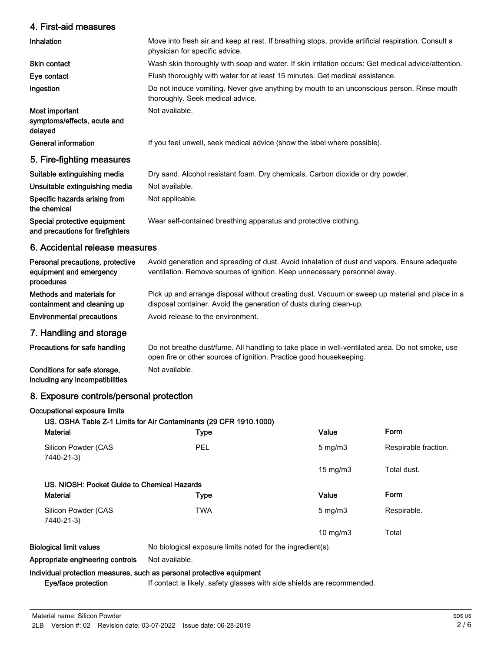# 4. First-aid measures

| 4. First-ald measures                                                     |                                                                                                                                                                           |
|---------------------------------------------------------------------------|---------------------------------------------------------------------------------------------------------------------------------------------------------------------------|
| Inhalation                                                                | Move into fresh air and keep at rest. If breathing stops, provide artificial respiration. Consult a<br>physician for specific advice.                                     |
| <b>Skin contact</b>                                                       | Wash skin thoroughly with soap and water. If skin irritation occurs: Get medical advice/attention.                                                                        |
| Eye contact                                                               | Flush thoroughly with water for at least 15 minutes. Get medical assistance.                                                                                              |
| Ingestion                                                                 | Do not induce vomiting. Never give anything by mouth to an unconscious person. Rinse mouth<br>thoroughly. Seek medical advice.                                            |
| Most important<br>symptoms/effects, acute and<br>delayed                  | Not available.                                                                                                                                                            |
| General information                                                       | If you feel unwell, seek medical advice (show the label where possible).                                                                                                  |
| 5. Fire-fighting measures                                                 |                                                                                                                                                                           |
| Suitable extinguishing media                                              | Dry sand. Alcohol resistant foam. Dry chemicals. Carbon dioxide or dry powder.                                                                                            |
| Unsuitable extinguishing media                                            | Not available.                                                                                                                                                            |
| Specific hazards arising from<br>the chemical                             | Not applicable.                                                                                                                                                           |
| Special protective equipment<br>and precautions for firefighters          | Wear self-contained breathing apparatus and protective clothing.                                                                                                          |
| 6. Accidental release measures                                            |                                                                                                                                                                           |
| Personal precautions, protective<br>equipment and emergency<br>procedures | Avoid generation and spreading of dust. Avoid inhalation of dust and vapors. Ensure adequate<br>ventilation. Remove sources of ignition. Keep unnecessary personnel away. |
| Methods and materials for<br>containment and cleaning up                  | Pick up and arrange disposal without creating dust. Vacuum or sweep up material and place in a<br>disposal container. Avoid the generation of dusts during clean-up.      |
| <b>Environmental precautions</b>                                          | Avoid release to the environment.                                                                                                                                         |
| 7. Handling and storage                                                   |                                                                                                                                                                           |
| Precautions for safe handling                                             | Do not breathe dust/fume. All handling to take place in well-ventilated area. Do not smoke, use<br>open fire or other sources of ignition. Practice good housekeeping.    |
|                                                                           |                                                                                                                                                                           |

Conditions for safe storage, Not available. including any incompatibilities

## 8. Exposure controls/personal protection

#### Occupational exposure limits

#### US. OSHA Table Z-1 Limits for Air Contaminants (29 CFR 1910.1000)

| <b>Material</b>                             | <b>Type</b>                                                             | Value             | Form                 |
|---------------------------------------------|-------------------------------------------------------------------------|-------------------|----------------------|
| Silicon Powder (CAS                         | PEL                                                                     | $5 \text{ mg/m}$  | Respirable fraction. |
| 7440-21-3)                                  |                                                                         |                   |                      |
|                                             |                                                                         | $15 \text{ mg/m}$ | Total dust.          |
| US. NIOSH: Pocket Guide to Chemical Hazards |                                                                         |                   |                      |
| <b>Material</b>                             | Type                                                                    | Value             | Form                 |
| Silicon Powder (CAS                         | TWA                                                                     | $5 \text{ mg/m}$  | Respirable.          |
| 7440-21-3)                                  |                                                                         |                   |                      |
|                                             |                                                                         | $10 \text{ mg/m}$ | Total                |
| Biological limit values                     | No biological exposure limits noted for the ingredient(s).              |                   |                      |
| Appropriate engineering controls            | Not available.                                                          |                   |                      |
|                                             | Individual protection measures, such as personal protective equipment   |                   |                      |
| Eye/face protection                         | If contact is likely, safety glasses with side shields are recommended. |                   |                      |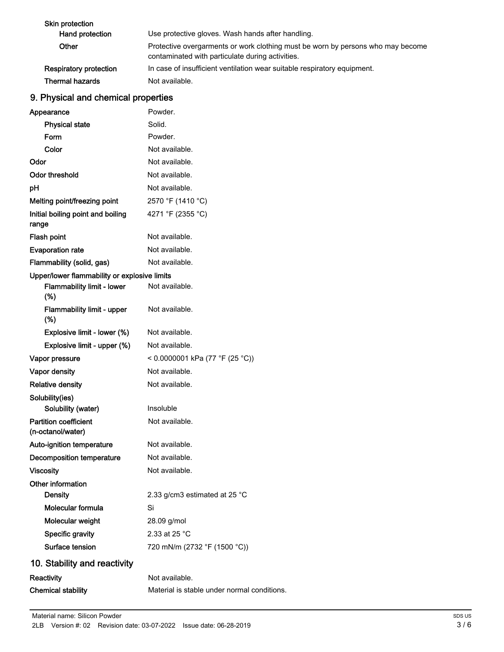| Skin protection               |                                                                                                                                     |
|-------------------------------|-------------------------------------------------------------------------------------------------------------------------------------|
| Hand protection               | Use protective gloves. Wash hands after handling.                                                                                   |
| Other                         | Protective overgarments or work clothing must be worn by persons who may become<br>contaminated with particulate during activities. |
| <b>Respiratory protection</b> | In case of insufficient ventilation wear suitable respiratory equipment.                                                            |
| <b>Thermal hazards</b>        | Not available.                                                                                                                      |

# 9. Physical and chemical properties

| Appearance                                        | Powder.                                     |
|---------------------------------------------------|---------------------------------------------|
| <b>Physical state</b>                             | Solid.                                      |
| Form                                              | Powder.                                     |
| Color                                             | Not available.                              |
| Odor                                              | Not available.                              |
| <b>Odor threshold</b>                             | Not available.                              |
| рH                                                | Not available.                              |
| Melting point/freezing point                      | 2570 °F (1410 °C)                           |
| Initial boiling point and boiling<br>range        | 4271 °F (2355 °C)                           |
| <b>Flash point</b>                                | Not available.                              |
| <b>Evaporation rate</b>                           | Not available.                              |
| Flammability (solid, gas)                         | Not available.                              |
| Upper/lower flammability or explosive limits      |                                             |
| <b>Flammability limit - lower</b><br>(%)          | Not available.                              |
| Flammability limit - upper<br>$(\%)$              | Not available.                              |
| Explosive limit - lower (%)                       | Not available.                              |
| Explosive limit - upper (%)                       | Not available.                              |
| Vapor pressure                                    | < 0.0000001 kPa (77 °F (25 °C))             |
| Vapor density                                     | Not available.                              |
| <b>Relative density</b>                           | Not available.                              |
| Solubility(ies)                                   |                                             |
| Solubility (water)                                | Insoluble                                   |
| <b>Partition coefficient</b><br>(n-octanol/water) | Not available.                              |
| Auto-ignition temperature                         | Not available.                              |
| <b>Decomposition temperature</b>                  | Not available.                              |
| <b>Viscosity</b>                                  | Not available                               |
| Other information                                 |                                             |
| <b>Density</b>                                    | 2.33 g/cm3 estimated at 25 °C               |
| Molecular formula                                 | Si                                          |
| Molecular weight                                  | 28.09 g/mol                                 |
| Specific gravity                                  | 2.33 at 25 °C                               |
| <b>Surface tension</b>                            | 720 mN/m (2732 °F (1500 °C))                |
| 10. Stability and reactivity                      |                                             |
| Reactivity                                        | Not available.                              |
| <b>Chemical stability</b>                         | Material is stable under normal conditions. |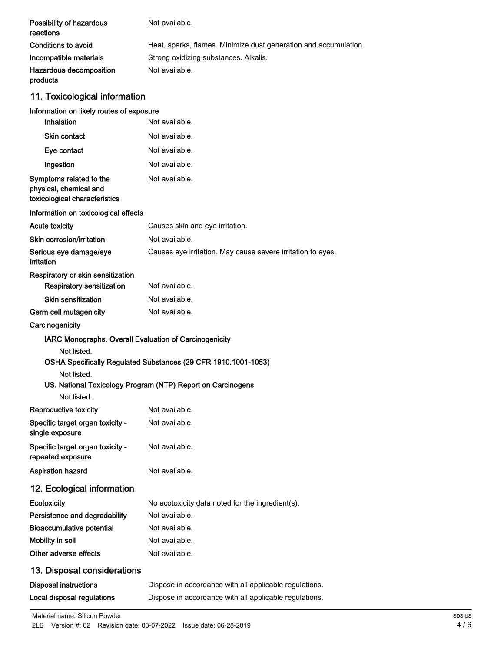| Possibility of hazardous<br>reactions                                              | Not available.                                                   |
|------------------------------------------------------------------------------------|------------------------------------------------------------------|
| Conditions to avoid                                                                | Heat, sparks, flames. Minimize dust generation and accumulation. |
| Incompatible materials                                                             | Strong oxidizing substances. Alkalis.                            |
| Hazardous decomposition<br>products                                                | Not available.                                                   |
| 11. Toxicological information                                                      |                                                                  |
| Information on likely routes of exposure                                           |                                                                  |
| Inhalation                                                                         | Not available.                                                   |
| <b>Skin contact</b>                                                                | Not available.                                                   |
| Eye contact                                                                        | Not available.                                                   |
| Ingestion                                                                          | Not available.                                                   |
| Symptoms related to the<br>physical, chemical and<br>toxicological characteristics | Not available.                                                   |
| Information on toxicological effects                                               |                                                                  |
| <b>Acute toxicity</b>                                                              | Causes skin and eye irritation.                                  |
| Skin corrosion/irritation                                                          | Not available.                                                   |
| Serious eye damage/eye<br>irritation                                               | Causes eye irritation. May cause severe irritation to eyes.      |
| Respiratory or skin sensitization                                                  |                                                                  |
| <b>Respiratory sensitization</b>                                                   | Not available.                                                   |
| Skin sensitization                                                                 | Not available.                                                   |
| Germ cell mutagenicity                                                             | Not available.                                                   |
| Carcinogenicity                                                                    |                                                                  |
| IARC Monographs. Overall Evaluation of Carcinogenicity                             |                                                                  |
| Not listed.                                                                        | OSHA Specifically Regulated Substances (29 CFR 1910.1001-1053)   |
| Not listed.                                                                        | US. National Toxicology Program (NTP) Report on Carcinogens      |
| Not listed.                                                                        | Not available.                                                   |
| <b>Reproductive toxicity</b>                                                       |                                                                  |
| Specific target organ toxicity -<br>single exposure                                | Not available.                                                   |
| Specific target organ toxicity -<br>repeated exposure                              | Not available.                                                   |
| Aspiration hazard                                                                  | Not available.                                                   |
| 12. Ecological information                                                         |                                                                  |
| Ecotoxicity                                                                        | No ecotoxicity data noted for the ingredient(s).                 |
| Persistence and degradability                                                      | Not available.                                                   |
| <b>Bioaccumulative potential</b>                                                   | Not available.                                                   |
| Mobility in soil                                                                   | Not available.                                                   |
| Other adverse effects                                                              | Not available.                                                   |
| 13. Disposal considerations                                                        |                                                                  |
| <b>Disposal instructions</b>                                                       | Dispose in accordance with all applicable regulations.           |
| <b>Local disposal regulations</b>                                                  | Dispose in accordance with all applicable regulations.           |
|                                                                                    |                                                                  |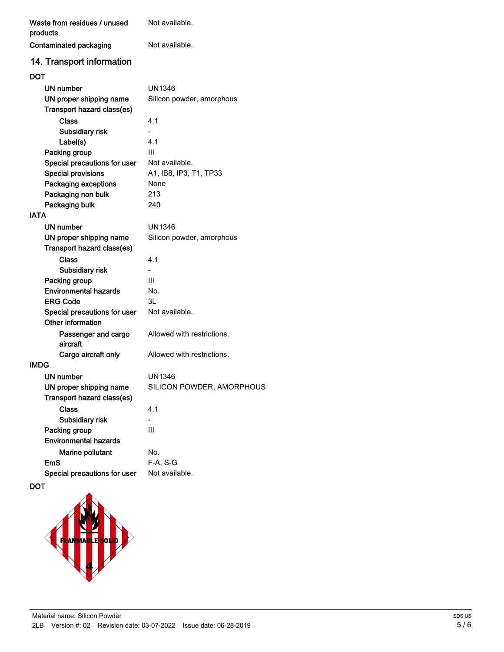| Waste from residues / unused<br>products | Not available.             |
|------------------------------------------|----------------------------|
| Contaminated packaging                   | Not available.             |
| 14. Transport information                |                            |
| DOT                                      |                            |
| UN number                                | UN1346                     |
| UN proper shipping name                  | Silicon powder, amorphous  |
| Transport hazard class(es)               |                            |
| <b>Class</b>                             | 4.1                        |
| Subsidiary risk                          |                            |
| Label(s)                                 | 4.1                        |
| Packing group                            | Ш                          |
| Special precautions for user             | Not available.             |
| <b>Special provisions</b>                | A1, IB8, IP3, T1, TP33     |
| Packaging exceptions                     | None                       |
| Packaging non bulk                       | 213                        |
| Packaging bulk                           | 240                        |
| IATA                                     |                            |
| UN number                                | UN1346                     |
| UN proper shipping name                  | Silicon powder, amorphous  |
| Transport hazard class(es)               |                            |
| <b>Class</b>                             | 4.1                        |
| Subsidiary risk                          |                            |
| Packing group                            | Ш                          |
| <b>Environmental hazards</b>             | No.                        |
| ERG Code                                 | 3L                         |
| Special precautions for user             | Not available.             |
| Other information                        |                            |
| Passenger and cargo                      | Allowed with restrictions. |
| aircraft                                 |                            |
| Cargo aircraft only                      | Allowed with restrictions. |
| IMDG                                     |                            |
| UN number                                | UN1346                     |
| UN proper shipping name                  | SILICON POWDER, AMORPHOUS  |
| Transport hazard class(es)               |                            |
| <b>Class</b>                             | 4.1                        |
| Subsidiary risk                          | L.                         |
| Packing group                            | III                        |
| <b>Environmental hazards</b>             |                            |
| Marine pollutant                         | No.                        |
| <b>EmS</b>                               | $F-A, S-G$                 |
| Special precautions for user             | Not available.             |

DOT